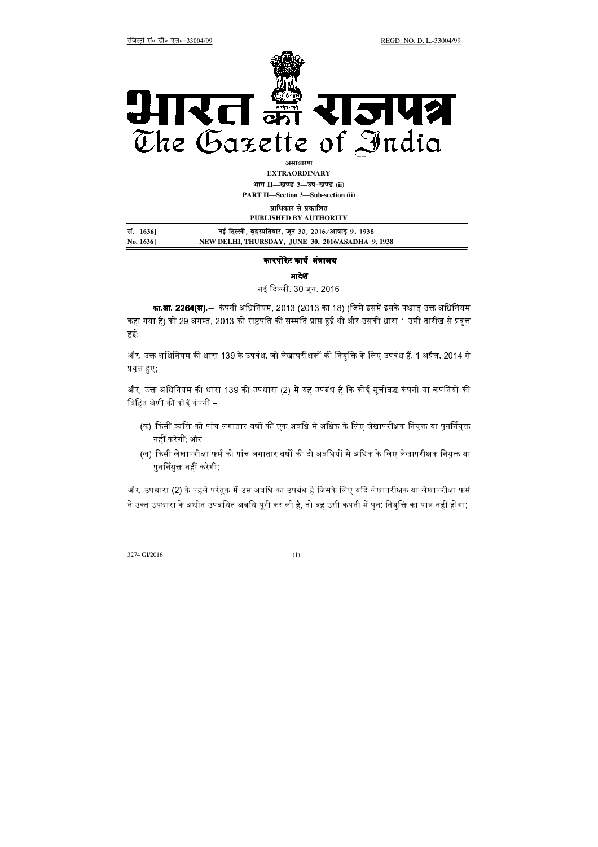

**EXTRAORDINARY Hkkx II—[k.M 3—mi&[k.M (ii) PART II—Section 3—Sub-section (ii)** 

**प्राधिकार से प्रकाशित** 

|           | PUBLISHED BY AUTHORITY                             |  |
|-----------|----------------------------------------------------|--|
| सं. 16361 | नई दिल्ली, बृहस्पतिवार, जून 30, 2016/आषाढ़ 9, 1938 |  |
| No. 1636] | NEW DELHI, THURSDAY, JUNE 30, 2016/ASADHA 9, 1938  |  |

## कारपोरेट कार्य मंत्रालय

आदेश

नई दिल्ली, 30 जन, 2016

**का.आ. 2264(अ).**— कंपनी अधिनियम, 2013 (2013 का 18) (जिसे इसमें इसके पश्चात उक्त अधिनियम कहा गया है) को 29 अगस्त. 2013 को राष्टपति की सम्मति प्राप्त हई थी और उसकी धारा 1 उसी तारीख से प्रवत्त हई ।

और. उक्त अधिनियम की धारा 139 के उपबंध. जो लेखापरीक्षकों की नियक्ति के लिए उपबंध हैं. 1 अप्रैल. 2014 से प्रवृत्त हुए;

और. उक्त अधिनियम की धारा 139 की उपधारा (2) में यह उपबंध है कि कोई सचीबद्ध कंपनी या कंपनियों की विहित श्रेणी की कोई कंपनी –

- (क) किसी व्यक्ति को पांच लगातार वर्षों की एक अवधि से अधिक के लिए लेखापरीक्षक नियुक्त या पुनर्नियुक्त नहीं करेगी, और
- (ख) किसी लेखापरीक्षा फर्म को पांच लगातार वर्षों की दो अवधियों से अधिक के लिए लेखापरीक्षक नियुक्त या पुनर्नियुक्त नहीं करेगी;

और. उपधारा (2) के पहले परंतक में उस अवधि का उपबंध है जिसके लिए यदि लेखापरीक्षक या लेखापरीक्षा फर्म ने उक्त उपधारा के अधीन उपबंधित अवधि पूरी कर ली है, तो वह उसी कंपनी में पुन: नियुक्ति का पात्र नहीं होगा;

3274 GI/2016 (1)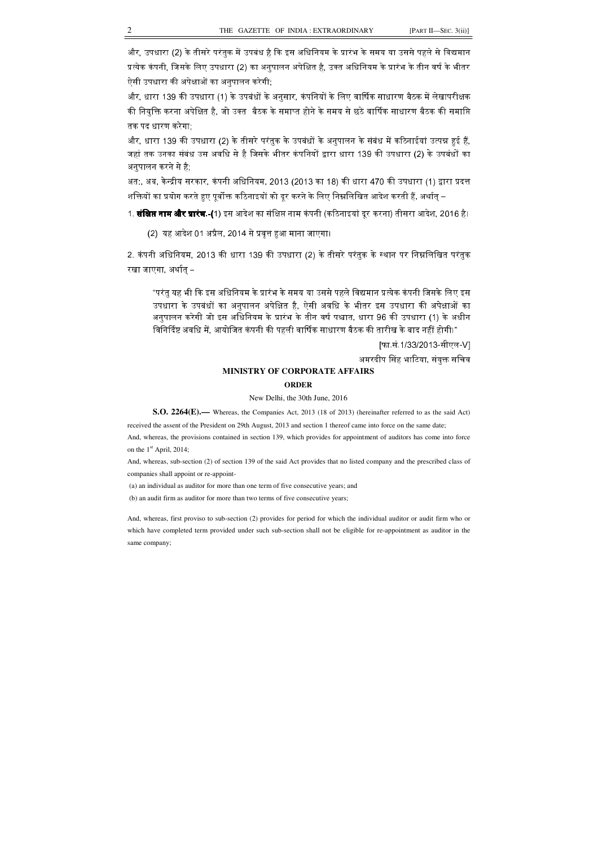और, उपधारा (2) के तीसरे परंतक में उपबंध है कि इस अधिनियम के प्रारंभ के समय या उससे पहले से विद्यमान प्रत्येक कंपनी, जिसके लिए उपधारा (2) का अनुपालन अपेक्षित है, उक्त अधिनियम के प्रारंभ के तीन वर्ष के भीतर ऐसी उपधारा की अपेक्षाओं का अनुपालन करेगी;

और, धारा 139 की उपधारा (1) के उपबंधों के अनुसार, कंपनियों के लिए वार्षिक साधारण बैठक में लेखापरीक्षक की नियक्ति करना अपेक्षित है. जो उक्त बैठक के समाप्त होने के समय से छठे वार्षिक साधारण बैठक की समाप्ति तक पद धारण करेगा;

और. धारा 139 की उपधारा (2) के तीसरे परंतक के उपबंधों के अनपालन के संबंध में कठिनाईयां उत्पन्न *ह*ई हैं. जहां तक उनका संबंध उस अवधि से है जिसके भीतर कंपनियों द्वारा धारा 139 की उपधारा (2) के उपबंधों का अनुपालन करने से है;

अत:, अब, केन्द्रीय सरकार, कंपनी अधिनियम, 2013 (2013 का 18) की धारा 470 की उपधारा (1) द्वारा प्रदत्त शक्तियों का प्रयोग करते हुए पूर्वोक्त कठिनाइयों को दूर करने के लिए निम्नलिखित आदेश करती हैं, अर्थात् –

1. **संक्षिप्त नाम और प्रारंभ.-(**1) इस आदेश का संक्षिप्त नाम कंपनी (कठिनाइयां दर करना) तीसरा आदेश. 2016 है।

(2) यह आदेश 01 अप्रैल. 2014 से प्रवत्त हुआ माना जाएगा।

2. कंपनी अधिनियम, 2013 की धारा 139 की उपधारा (2) के तीसरे परंतुक के स्थान पर निम्नलिखित परंतुक रखा जाएगा, अर्थात $-$ 

"परंत यह भी कि इस अधिनियम के प्रारंभ के समय या उससे पहले विद्यमान प्रत्येक कंपनी जिसके लिए इस उपधारा के उपबंधों का अनपालन अपेक्षित है. ऐसी अवधि के भीतर इस उपधारा की अपेक्षाओं का अनपालन करेगी जो इस अधिनियम के प्रारंभ के तीन वर्ष पश्चात. धारा 96 की उपधारा (1) के अधीन विनिर्दिष्ट अवधि में, आयोजित कंपनी की पहली वार्षिक साधारण बैठक की तारीख के बाद नहीं होगी।"

[फा.सं.1/33/2013-सीएल-V]

अमरदीप सिंह भाटिया. संयक्त सचिव

## **MINISTRY OF CORPORATE AFFAIRS**

## **ORDER**

New Delhi, the 30th June, 2016

**S.O. 2264(E).—** Whereas, the Companies Act, 2013 (18 of 2013) (hereinafter referred to as the said Act) received the assent of the President on 29th August, 2013 and section 1 thereof came into force on the same date;

And, whereas, the provisions contained in section 139, which provides for appointment of auditors has come into force on the 1<sup>st</sup> April, 2014;

And, whereas, sub-section (2) of section 139 of the said Act provides that no listed company and the prescribed class of companies shall appoint or re-appoint-

(a) an individual as auditor for more than one term of five consecutive years; and

(b) an audit firm as auditor for more than two terms of five consecutive years;

And, whereas, first proviso to sub-section (2) provides for period for which the individual auditor or audit firm who or which have completed term provided under such sub-section shall not be eligible for re-appointment as auditor in the same company;